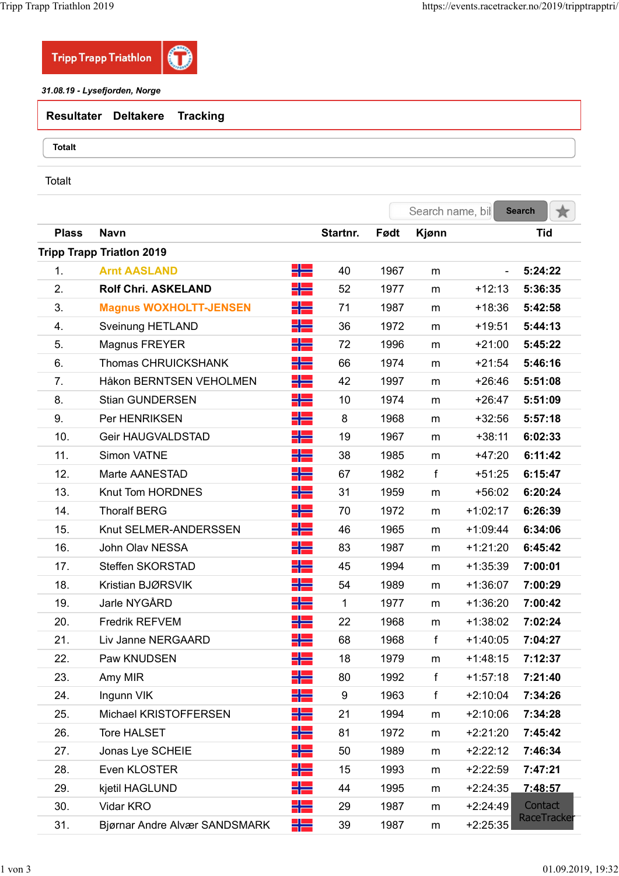

| <b>Resultater Deltakere Tracking</b> |  |
|--------------------------------------|--|
| Totalt                               |  |

| app Triathlon 2019 |                                     |         |                  |              |                  |                      | https://events.racetracker.no/2019/tripptrapptri/ |
|--------------------|-------------------------------------|---------|------------------|--------------|------------------|----------------------|---------------------------------------------------|
|                    | <b>Tripp Trapp Triathlon</b>        |         |                  |              |                  |                      |                                                   |
|                    | 31.08.19 - Lysefjorden, Norge       |         |                  |              |                  |                      |                                                   |
| <b>Resultater</b>  | <b>Deltakere</b><br><b>Tracking</b> |         |                  |              |                  |                      |                                                   |
|                    |                                     |         |                  |              |                  |                      |                                                   |
| <b>Totalt</b>      |                                     |         |                  |              |                  |                      |                                                   |
| Totalt             |                                     |         |                  |              |                  |                      |                                                   |
|                    |                                     |         |                  |              |                  |                      |                                                   |
|                    |                                     |         |                  |              | Search name, bil |                      | <b>Search</b><br>★                                |
| <b>Plass</b>       | <b>Navn</b>                         |         | Startnr.         | Født         | Kjønn            |                      | <b>Tid</b>                                        |
|                    | <b>Tripp Trapp Triation 2019</b>    |         |                  |              |                  |                      |                                                   |
| 1.                 | <b>Arnt AASLAND</b>                 | 뒤든      | 40               | 1967         | m                |                      | 5:24:22                                           |
| 2.                 | <b>Rolf Chri. ASKELAND</b>          | ╬       | 52               | 1977         | m                | $+12:13$             | 5:36:35                                           |
| 3.                 | <b>Magnus WOXHOLTT-JENSEN</b>       | ╬       | 71               | 1987         | m                | $+18:36$             | 5:42:58                                           |
| 4.<br>5.           | Sveinung HETLAND<br>Magnus FREYER   | H를<br>╬ | 36<br>72         | 1972<br>1996 | m<br>m           | $+19:51$<br>$+21:00$ | 5:44:13<br>5:45:22                                |
| 6.                 | <b>Thomas CHRUICKSHANK</b>          | HE      | 66               | 1974         |                  | $+21:54$             | 5:46:16                                           |
| 7.                 | Håkon BERNTSEN VEHOLMEN             | HE      | 42               | 1997         | m<br>m           | $+26:46$             | 5:51:08                                           |
| 8.                 | <b>Stian GUNDERSEN</b>              | HE      | 10               | 1974         | m                | $+26:47$             | 5:51:09                                           |
| 9.                 | Per HENRIKSEN                       | ٢E      | 8                | 1968         | m                | $+32:56$             | 5:57:18                                           |
| 10.                | Geir HAUGVALDSTAD                   | ٢E      | 19               | 1967         | m                | $+38:11$             | 6:02:33                                           |
| 11.                | Simon VATNE                         | HZ      | 38               | 1985         | m                | $+47:20$             | 6:11:42                                           |
| 12.                | Marte AANESTAD                      | 52      | 67               | 1982         | $\mathbf{f}$     | $+51:25$             | 6:15:47                                           |
| 13.                | Knut Tom HORDNES                    | 半름      | 31               | 1959         | m                | $+56:02$             | 6:20:24                                           |
| 14.                | <b>Thoralf BERG</b>                 | 半물      | 70               | 1972         | m                | $+1:02:17$           | 6:26:39                                           |
| 15.                | Knut SELMER-ANDERSSEN               | 半물      | 46               | 1965         | m                | $+1:09:44$           | 6:34:06                                           |
| 16.                | John Olav NESSA                     | 믦드      | 83               | 1987         | m                | $+1:21:20$           | 6:45:42                                           |
| 17.                | Steffen SKORSTAD                    | 52      | 45               | 1994         | m                | $+1:35:39$           | 7:00:01                                           |
| 18.                | Kristian BJØRSVIK                   | 半물      | 54               | 1989         | m                | $+1:36:07$           | 7:00:29                                           |
| 19.                | Jarle NYGÅRD                        | HE      | $\mathbf{1}$     | 1977         | m                | $+1:36:20$           | 7:00:42                                           |
| 20.                | Fredrik REFVEM                      | 52      | 22               | 1968         | m                | $+1:38:02$           | 7:02:24                                           |
| 21.                | Liv Janne NERGAARD                  | 믦드      | 68               | 1968         | $\mathbf{f}$     | $+1:40:05$           | 7:04:27                                           |
| 22.                | Paw KNUDSEN                         | ٢E      | 18               | 1979         | m                | $+1:48:15$           | 7:12:37                                           |
| 23.                | Amy MIR                             | 믦드      | 80               | 1992         | $\mathsf{f}$     | $+1:57:18$           | 7:21:40                                           |
| 24.                | Ingunn VIK                          | 半물      | $\boldsymbol{9}$ | 1963         | f                | $+2:10:04$           | 7:34:26                                           |
| 25.                | Michael KRISTOFFERSEN               | HE      | 21               | 1994         | m                | $+2:10:06$           | 7:34:28                                           |
| 26.                | Tore HALSET                         | HE      | 81               | 1972         | m                | $+2:21:20$           | 7:45:42                                           |
| 27.                | Jonas Lye SCHEIE                    | HE      | 50               | 1989         | m                | $+2:22:12$           | 7:46:34                                           |
| 28.                | Even KLOSTER                        | HE      | 15               | 1993         | m                | $+2:22:59$           | 7:47:21                                           |
| 29.                | kjetil HAGLUND                      | HE      | 44               | 1995         | m                | $+2:24:35$           | 7:48:57                                           |
| 30.                | Vidar KRO                           | HE      | 29               | 1987         | m                | $+2:24:49$           | Contact                                           |
| 31.                | Bjørnar Andre Alvær SANDSMARK       | HE      | 39               | 1987         | m                | $+2:25:35$           | RaceTracker                                       |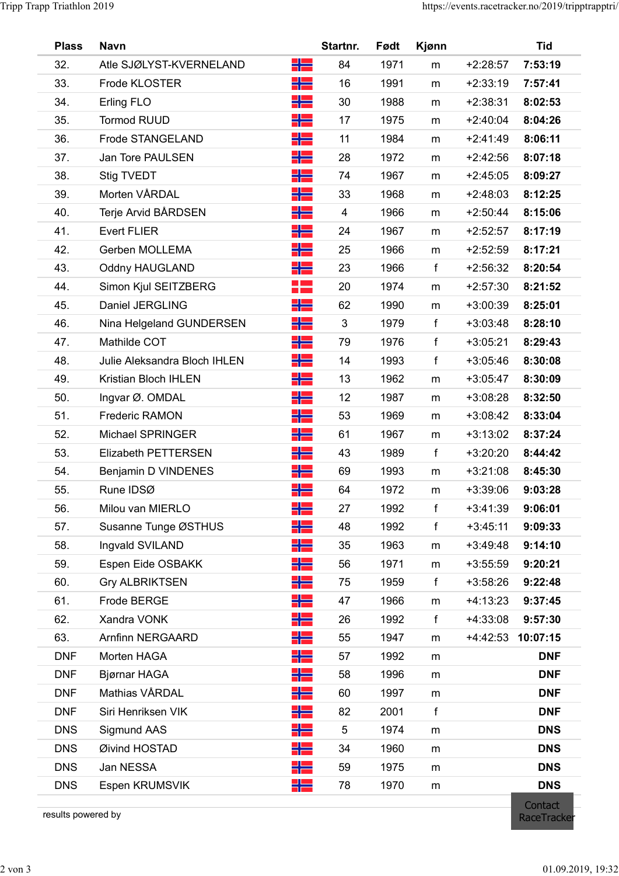| <b>Plass</b> |                              |          |              |              |              |                          |                    |  |
|--------------|------------------------------|----------|--------------|--------------|--------------|--------------------------|--------------------|--|
|              | <b>Navn</b>                  |          | Startnr.     | Født         | Kjønn        |                          | <b>Tid</b>         |  |
| 32.          | Atle SJØLYST-KVERNELAND      | HE       | 84           | 1971         | m            | $+2:28:57$               | 7:53:19            |  |
| 33.          | Frode KLOSTER                | H를       | 16           | 1991         | m            | $+2:33:19$               | 7:57:41            |  |
| 34.          | Erling FLO                   | 52       | 30           | 1988         | m            | $+2:38:31$               | 8:02:53            |  |
| 35.          | <b>Tormod RUUD</b>           | HE       | 17           | 1975         | m            | $+2:40:04$               | 8:04:26            |  |
| 36.          | Frode STANGELAND             | 22       | 11           | 1984         | m            | $+2:41:49$               | 8:06:11            |  |
| 37.          | Jan Tore PAULSEN             | H٢<br>半물 | 28<br>74     | 1972<br>1967 | m            | $+2:42:56$<br>$+2:45:05$ | 8:07:18            |  |
| 38.<br>39.   | Stig TVEDT<br>Morten VÅRDAL  |          | 33           | 1968         | m            | $+2:48:03$               | 8:09:27<br>8:12:25 |  |
| 40.          | Terje Arvid BÅRDSEN          | ٢E       | 4            | 1966         | m<br>m       | $+2:50:44$               | 8:15:06            |  |
| 41.          | <b>Evert FLIER</b>           | 믦        | 24           | 1967         | m            | $+2:52:57$               | 8:17:19            |  |
| 42.          | Gerben MOLLEMA               | H -      | 25           | 1966         | m            | $+2:52:59$               | 8:17:21            |  |
| 43.          | <b>Oddny HAUGLAND</b>        | 半물       | 23           | 1966         | f            | $+2:56:32$               | 8:20:54            |  |
| 44.          | Simon Kjul SEITZBERG         | 22       | 20           | 1974         | m            | $+2:57:30$               | 8:21:52            |  |
| 45.          | Daniel JERGLING              | 52       | 62           | 1990         | m            | $+3:00:39$               | 8:25:01            |  |
| 46.          | Nina Helgeland GUNDERSEN     | 212      | $\mathbf{3}$ | 1979         | f            | $+3:03:48$               | 8:28:10            |  |
| 47.          | Mathilde COT                 | 52       | 79           | 1976         | f            | $+3:05:21$               | 8:29:43            |  |
| 48.          | Julie Aleksandra Bloch IHLEN | 믦드       | 14           | 1993         | f            | $+3:05:46$               | 8:30:08            |  |
| 49.          | Kristian Bloch IHLEN         | 베르       | 13           | 1962         | m            | $+3:05:47$               | 8:30:09            |  |
| 50.          | Ingvar Ø. OMDAL              | H٢       | 12           | 1987         | m            | $+3:08:28$               | 8:32:50            |  |
| 51.          | <b>Frederic RAMON</b>        | 半물       | 53           | 1969         | m            | $+3:08:42$               | 8:33:04            |  |
| 52.          | Michael SPRINGER             | H٢       | 61           | 1967         | m            | $+3:13:02$               | 8:37:24            |  |
| 53.          | Elizabeth PETTERSEN          | 半름       | 43           | 1989         | f            | $+3:20:20$               | 8:44:42            |  |
| 54.          | Benjamin D VINDENES          | ٢Æ       | 69           | 1993         | m            | $+3:21:08$               | 8:45:30            |  |
| 55.          | Rune IDSØ                    | 半물       | 64           | 1972         | m            | $+3:39:06$               | 9:03:28            |  |
| 56.          | Milou van MIERLO             | 半물       | 27           | 1992         | $\mathsf{f}$ | $+3:41:39$               | 9:06:01            |  |
| 57.          | Susanne Tunge ØSTHUS         | 5분       | 48           | 1992         | $\mathsf{f}$ | $+3:45:11$               | 9:09:33            |  |
| 58.          | Ingvald SVILAND              | 半물       | 35           | 1963         | m            | $+3:49:48$               | 9:14:10            |  |
| 59.          | Espen Eide OSBAKK            | HE       | 56           | 1971         | m            | $+3:55:59$               | 9:20:21            |  |
| 60.          | <b>Gry ALBRIKTSEN</b>        | 물론       | 75           | 1959         | f            | $+3:58:26$               | 9:22:48            |  |
| 61.          | Frode BERGE                  | XZ       | 47           | 1966         | m            | $+4:13:23$               | 9:37:45            |  |
| 62.          | Xandra VONK                  | ٢Æ       | 26           | 1992         | f            | $+4:33:08$               | 9:57:30            |  |
| 63.          | Arnfinn NERGAARD             | H٢       | 55           | 1947         | m            |                          | +4:42:53 10:07:15  |  |
| <b>DNF</b>   | Morten HAGA                  | 물론       | 57           | 1992         | m            |                          | <b>DNF</b>         |  |
| <b>DNF</b>   | Bjørnar HAGA                 | 2 E      | 58           | 1996         | m            |                          | <b>DNF</b>         |  |
| <b>DNF</b>   | Mathias VÅRDAL               | XZ       | 60           | 1997         | m            |                          | <b>DNF</b>         |  |
| <b>DNF</b>   | Siri Henriksen VIK           | ᆊᆖ       | 82           | 2001         |              |                          | <b>DNF</b>         |  |
| <b>DNS</b>   | Sigmund AAS                  | 믦드       | $\sqrt{5}$   | 1974         | ${\sf m}$    |                          | <b>DNS</b>         |  |
| <b>DNS</b>   | Øivind HOSTAD                | H -      | 34           | 1960         | m            |                          | <b>DNS</b>         |  |
| <b>DNS</b>   | Jan NESSA                    | झड       | 59           | 1975         | m            |                          | <b>DNS</b>         |  |
| <b>DNS</b>   | Espen KRUMSVIK               | XZ       | 78           | 1970         | m            |                          | <b>DNS</b>         |  |